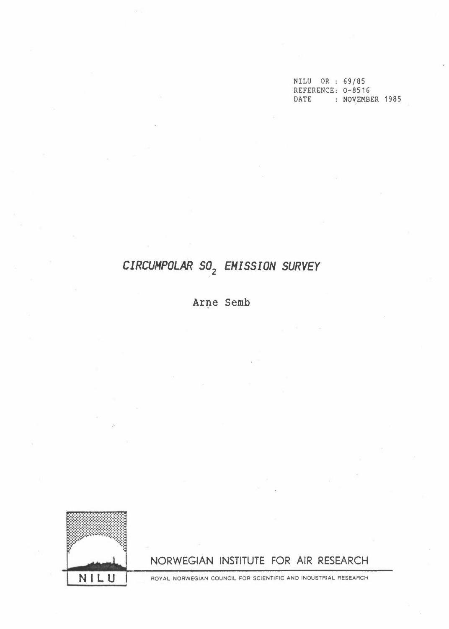NILU OR : 69 /85 REFERENCE: 0-8516<br>DATE : NOVEMB : NOVEMBER 1985

# *CIRCUMPOLAR* **S02** *EMISSION SURVEY*

**Arne Semb** 



**NORWEGIAN INSTITUTE FOR AIR RESEARCH** 

NIL U **ROYAL NORWEGIAN COUNCIL FOR SCIENTIFIC AND INDUSTRIAL RESEARCH**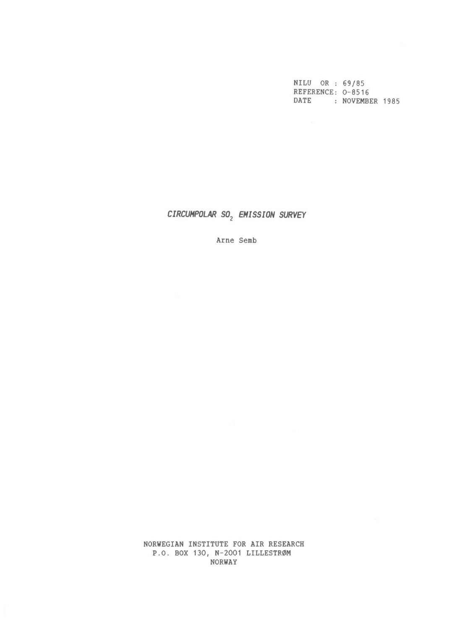NILU OR : 69/85 REFERENCE: 0-8516 DATE : NOVEMBER 1985

*CIRCUHPOLAR* **S02** *EHISSION SURVEY* 

Arne Semb

**NORWEGIAN** INSTITUTE FOR AIR RESEARCH P.O. BOX 130, N-2001 LILLESTRØM **NORWAY**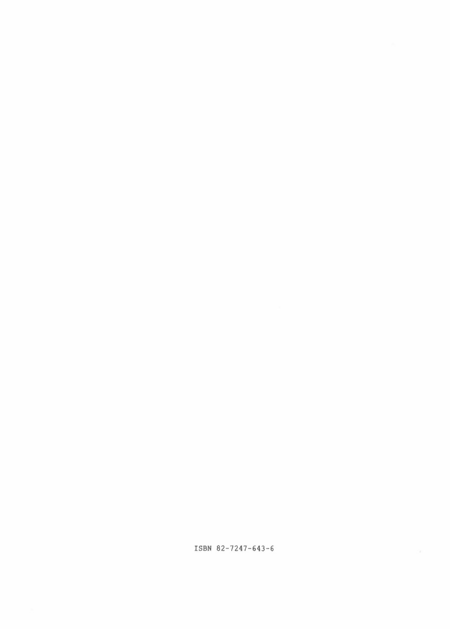ISBN 82-7247-643-6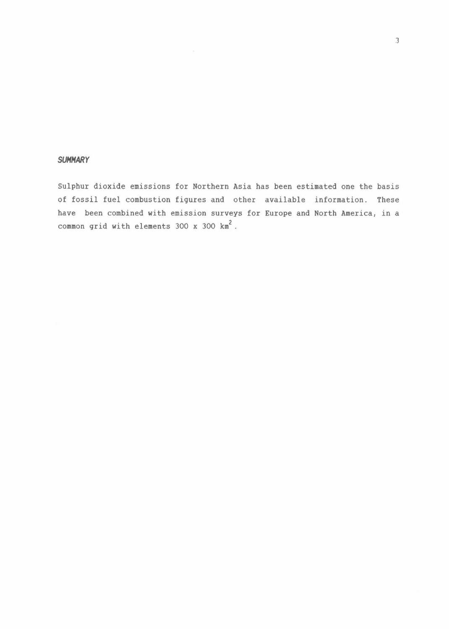#### *SUHHARY*

Sulphur dioxide emissions for Northern Asia has been estimated one the basis of fossil fuel combustion figures and other available information. These have been combined with emission surveys for Europe and North America, in a common grid with elements  $300 \times 300 \text{ km}^2$ .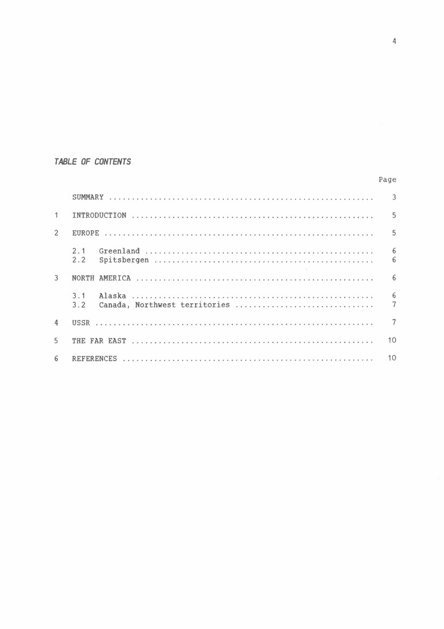## TABLE OF CONTENTS

|                |                                                       | $\mathcal{E}$        |
|----------------|-------------------------------------------------------|----------------------|
|                |                                                       | 5                    |
| $\overline{2}$ |                                                       | $\overline{5}$       |
|                | 2.1<br>2.2                                            | 6<br>6               |
| 3              | <b>NORTH</b>                                          | 6                    |
|                | Alaska<br>3.1<br>Canada, Northwest territories<br>3.2 | $6\phantom{1}6$<br>7 |
| $\mathbf{4}$   |                                                       |                      |
| 5              |                                                       | 10 <sup>°</sup>      |
| 6              |                                                       | 10                   |

Page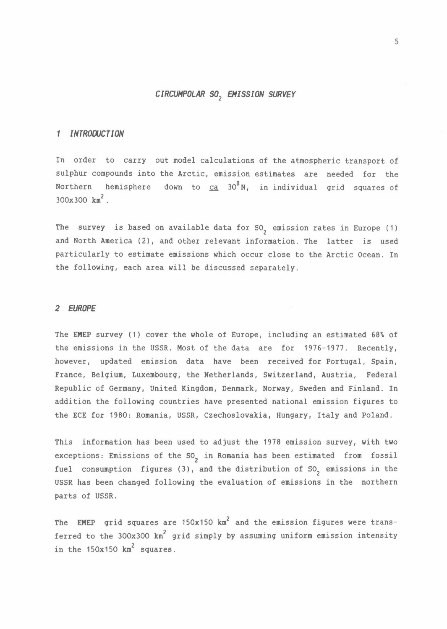# *CIRCUMPOLAR* **50 <sup>2</sup>***EHISSION SURVEY*

#### *1 INTRODUCTION*

In order to carry out model calculations of the atmospheric transport of sulphur compounds into the Arctic, emission estimates are needed for the Northern hemisphere down to  $ca$  30<sup>0</sup>N, in individual grid squares of 300x300 km<sup>2</sup>.

The survey is based on available data for SO<sub>2</sub> emission rates in Europe (1) and North America (2), and other relevant information. The latter is used particularly to estimate emissions which occur close to the Arctic Ocean. In the following, each area will be discussed separately.

#### *2 EUROPE*

The **EMEP** survey (1) cover the whole of Europe, including an estimated 68% of the emissions in the USSR. Most of the data are for 1976-1977. Recently, however, updated emission data have been received for Portugal, Spain, France, Belgium, Luxembourg, the Netherlands, Switzerland, Austria, Federal Republic of Germany, United Kingdom, Denmark, Norway, Sweden and Finland. In addition the following countries have presented national emission figures to the ECE for 1980: Romania, USSR, Czechoslovakia, Hungary, Italy and Poland.

This information has been used to adjust the 1978 emission survey, with two exceptions: Emissions of the  $SO_2$  in Romania has been estimated from fossil fuel consumption figures (3), and the distribution of  $SO_2$  emissions in the USSR has been changed following the evaluation of emissions in the northern parts of USSR.

The **EMEP** grid squares are 150x150 km<sup>2</sup> and the emission figures were transferred to the 300x300 km<sup>2</sup> grid simply by assuming uniform emission intensity in the  $150x150$  km<sup>2</sup> squares.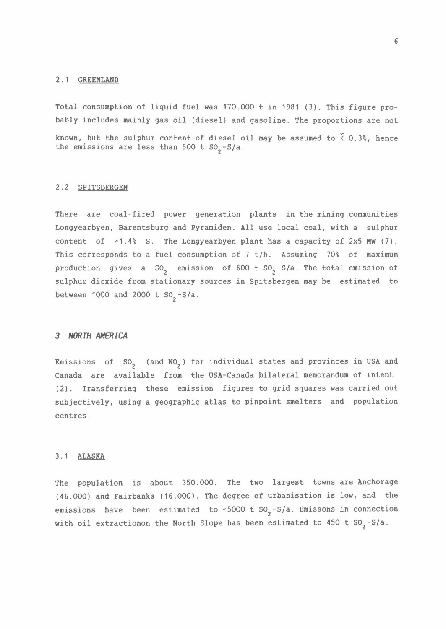#### 2 . 1 **GREENLAND**

Total consumption of liquid fuel was 170.000 tin 1981 (3). This figure probably includes mainly gas oil (diesel) and gasoline. The proportions are not

known, but the sulphur content of diesel oil may be assumed to  $\zeta$  0.3%, hence the emissions are less than 500 t  $SO_2-S/a$ .

#### 2.2 **SPITSBERGEN**

There are coal-fired power generation plants in the mining communities Longyearbyen, Barentsburg and Pyramiden. All use local coal, with a sulphur content of ~1.4% S. The Longyearbyen plant has a capacity of 2x5 **MW** (7). This corresponds to a fuel consumption of 7 t/h. Assuming 70% of maximum production gives a  ${50}^2$  emission of  $600$  t  ${50}^2$ -S/a. The total emission of sulphur dioxide from stationary sources in Spitsbergen may be estimated to between 1000 and 2000 t  $\text{SO}_2$ -S/a.

#### *3 NORTH AMERICA*

Emissions of SO<sub>2</sub> (and NO<sub>2</sub>) for individual states and provinces in USA and Canada are available from the USA-Canada bilateral memorandum of intent (2). Transferring these emission figures to grid squares was carried out subjectively, using a geographic atlas to pinpoint smelters and population centres.

#### 3 .1 ALASKA

The population is about 350.000. The two largest towns are Anchorage (46.000) and Fairbanks (16.000). The degree of urbanisation is low, and the emissions have been estimated to ~5000 t SO<sub>2</sub>-S/a. Emissons in connection with oil extractionon the North Slope has been estimated to  $450$  t SO<sub>2</sub>-S/a.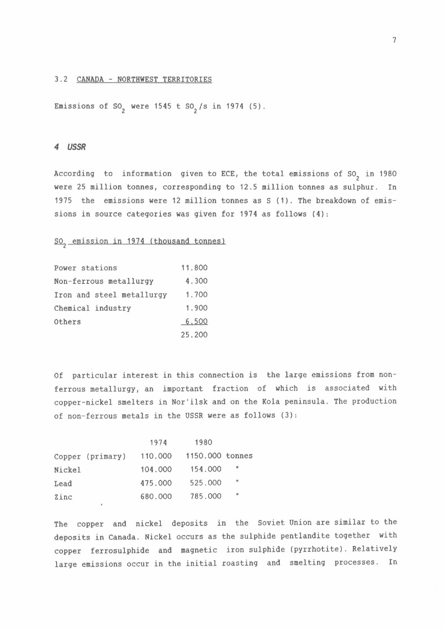#### 3.2 **CANADA - NORTHWEST** TERRITORIES

Emissions of SO<sub>2</sub> were 1545 t SO<sub>2</sub>/s in 1974 (5).

#### *4 USSR*

According to information given to ECE, the total emissions of SO<sub>2</sub> in 1980 were 25 million tonnes, corresponding to 12.5 million tonnes as sulphur. In 1975 the emissions were 12 million tonnes as S (1). The breakdown of emissions in source categories was given for 1974 as follows (4):

SO<sub>2</sub> emission in 1974 (thousand tonnes)

| Power stations            | 11.800 |
|---------------------------|--------|
| Non-ferrous metallurgy    | 4.300  |
| Iron and steel metallurgy | 1.700  |
| Chemical industry         | 1.900  |
| Others                    | 6,500  |
|                           | 25.200 |

Of particular interest in this connection is the large emissions from nonferrous metallurgy, an important fraction of which is associated with copper-nickel smelters in Nor'ilsk and on the Kola peninsula. The production of non-ferrous metals in the USSR were as follows (3):

| 1974             | 1980            |              |
|------------------|-----------------|--------------|
| 110,000          | 1150,000 tonnes |              |
| 104,000          | 154.000         | $\mathbf{u}$ |
| 475,000          | 525.000         | н            |
| 680.000          | 785.000         | N            |
| Copper (primary) |                 |              |

The copper and nickel deposits in the Soviet Union are similar to the deposits in Canada. Nickel occurs as the sulphide pentlandite together with copper ferrosulphide and magnetic iron sulphide (pyrrhotite). Relatively large emissions occur in the initial roasting and smelting processes. In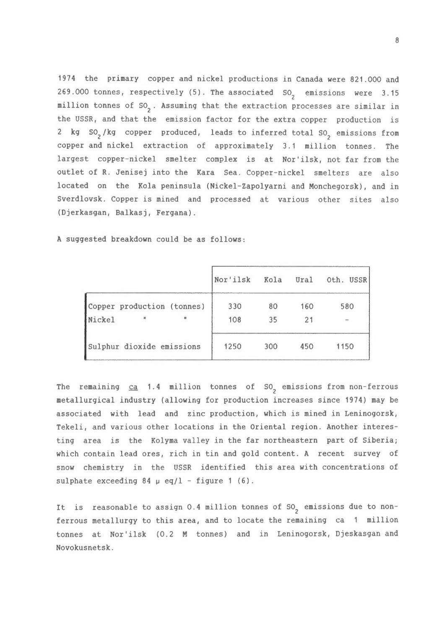1974 the primary copper and nickel productions *in* Canada were 821.000 and 269.000 tonnes, respectively (5). The associated  $so<sub>2</sub>$  emissions were 3.15 million tonnes of S0 2 . Assuming that the extraction processes are similar *in*  the USSR, and that the emission factor for the extra copper production is 2 kg SO<sub>2</sub>/kg copper produced, leads to inferred total SO<sub>2</sub> emissions from copper and nickel extraction of approximately 3.1 million tonnes. The largest copper-nickel smelter complex is at Nor'ilsk, not far from the outlet of R. Jenisej into the Kara Sea. Copper-nickel smelters are also located on the Kola peninsula (Nickel-Zapolyarni and Monchegorsk), and *in*  Sverdlovsk. Copper is mined and processed at various other sites also (Djerkasgan, Balkasj, Fergana).

A suggested breakdown could be as follows:

|                            | Nor'ilsk | Kola Ural |     | Oth. USSR                |
|----------------------------|----------|-----------|-----|--------------------------|
| Copper production (tonnes) | 330      | 80        | 160 | 580                      |
| Nickel<br>w                | 108      | 35        | 21  | $\overline{\phantom{a}}$ |
| Sulphur dioxide emissions  | 1250     | 300       | 450 | 1150                     |

The remaining <u>ca</u> 1.4 million tonnes of SO<sub>2</sub> emissions from non-ferrous metallurgical industry (allowing for production increases since 1974) may be associated with lead and zinc production, which is mined in Leninogorsk, Tekeli, and various other locations in the Oriental region. Another interesting area is the Kolyma valley in the far northeastern part of Siberia; which contain lead ores, rich in tin and gold content. A recent survey of snow chemistry in the USSR identified this area with concentrations of sulphate exceeding 84  $\mu$  eq/l - figure 1 (6).

It is reasonable to assign 0.4 million tonnes of SO<sub>2</sub> emissions due to nonferrous metallurgy to this area, and to locate the remaining ca 1 million tonnes at Nor'ilsk (0.2 M tonnes) and in Leninogorsk, Djeskasgan and Novokusnetsk.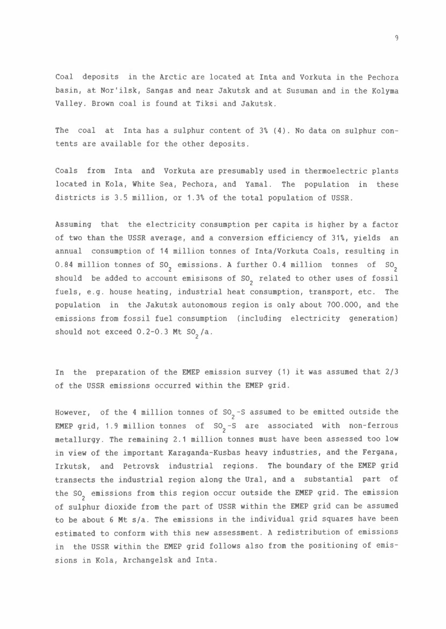Coal deposits in the Arctic are located at Inta and Vorkuta in the Pechora basin, at Nor'ilsk, Sangas and near Jakutsk and at Susuman and in the Kolyma Valley. Brown coal is found at Tiksi and Jakutsk.

The coal at Inta has a sulphur content of 3% (4). No data on sulphur contents are available for the other deposits.

Coals from Inta and Vorkuta are presumably used in thermoelectric plants located in Kola, White Sea, Pechora, and Yamal. The population in these districts is 3.5 million, or 1.3% of the total population of USSR.

Assuming that the electricity consumption per capita is higher by a factor of two than the USSR average, and a conversion efficiency of 31%, yields an annual consumption of 14 million tonnes of Inta/Vorkuta Coals, resulting in 0.84 million tonnes of SO<sub>2</sub> emissions. A further 0.4 million tonnes of SO<sub>2</sub> should be added to account emisisons of  ${50}^{\circ}_2$  related to other uses of fossil fuels, e.g. house heating, industrial heat consumption, transport, etc. The population in the Jakutsk autonomous region is only about 700.000, and the emissions from fossil fuel consumption (including electricity generation) should not exceed  $0.2$ -0.3 Mt SO<sub>2</sub>/a.

In the preparation of the EMEP emission survey (1) it was assumed that 2/3 of the USSR emissions occurred within the EMEP grid.

However, of the 4 million tonnes of  $\text{SO}_2$ -S assumed to be emitted outside the EMEP grid, 1.9 million tonnes of SO<sub>2</sub>-S are associated with non-ferrous metallurgy. The remaining 2.1 million tonnes must have been assessed too low in view of the important Karaganda-Kusbas heavy industries, and the Fergana, Irkutsk, and Petrovsk industrial regions. The boundary of the EMEP grid transects the industrial region along the Ural, and a substantial part of the SO<sub>2</sub> emissions from this region occur outside the EMEP grid. The emission of sulphur dioxide from the part of USSR within the EMEP grid can be assumed to be about 6 **Mt** s/a. The emissions in the individual grid squares have been estimated to conform with this new assessment. A redistribution of emissions in the USSR within the EMEP grid follows also from the positioning of emissions in Kola, Archangelsk and Inta.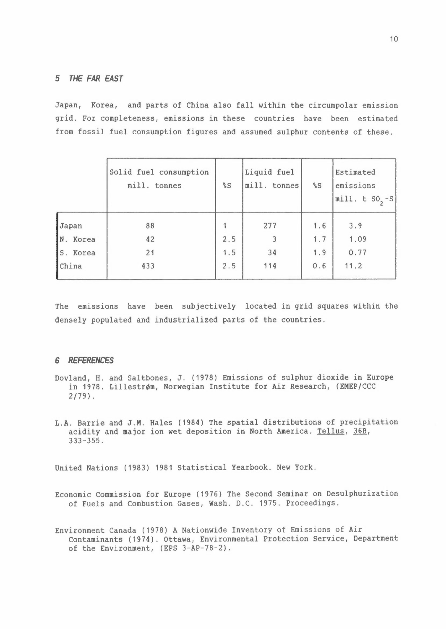#### *5 THE FAR EAST*

Japan, Korea, and parts of China also fall within the circumpolar emission grid. For completeness, emissions in these countries have been estimated from fossil fuel consumption figures and assumed sulphur contents of these.

|          | Solid fuel consumption<br>mill. tonnes | $\mathcal{S}$ | Liquid fuel<br>mill. tonnes | $\mathcal{S}$ | Estimated<br>emissions<br>$mill. t so -s$ |
|----------|----------------------------------------|---------------|-----------------------------|---------------|-------------------------------------------|
| Japan    | 88                                     |               | 277                         | 1.6           | 3.9                                       |
| N. Korea | 42                                     | 2.5           | 3                           | 1.7           | 1.09                                      |
| S. Korea | 21                                     | 1.5           | 34                          | 1.9           | 0.77                                      |
| China    | 433                                    | 2.5           | 114                         | 0.6           | 11.2                                      |

The emissions have been subjectively located in grid squares within the densely populated and industrialized parts of the countries.

#### *6 REFERENCES*

- Dovland, H. and Saltbones, J. (1978) Emissions of sulphur dioxide in Europe in 1978. Lillestrøm, Norwegian Institute for Air Research, (EMEP/CCC 2/79).
- L.A. Barrie and J.M. Hales (1984) The spatial distributions of precipitation acidity and major ion wet deposition in North America. Tellus, 36B, 333-355.

United Nations (1983) 1981 Statistical Yearbook. New York.

Economic Commission for Europe (1976) The Second Seminar on Desulphurization of Fuels and Combustion Gases, Wash. D.C. 1975. Proceedings.

Environment Canada (1978) A Nationwide Inventory of Emissions of Air Contaminants (1974). Ottawa, Environmental Protection Service, Department of the Environment, (EPS 3-AP-78-2).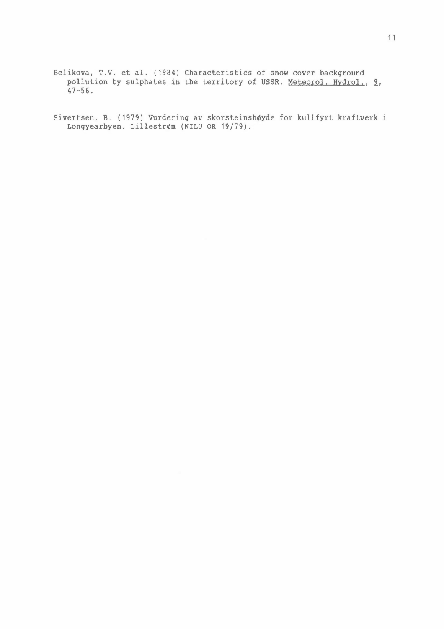Belikova, T.V. et al. (1984) Characteristics of snow cover background pollution by sulphates in the territory of USSR. Meteorol. Hydrol., 9, 47-56.

Sivertsen, B. (1979) Vurdering av skorsteinshøyde for kullfyrt kraftverk *<sup>i</sup>* Longyearbyen. Lillestrøm (NILU OR 19/79).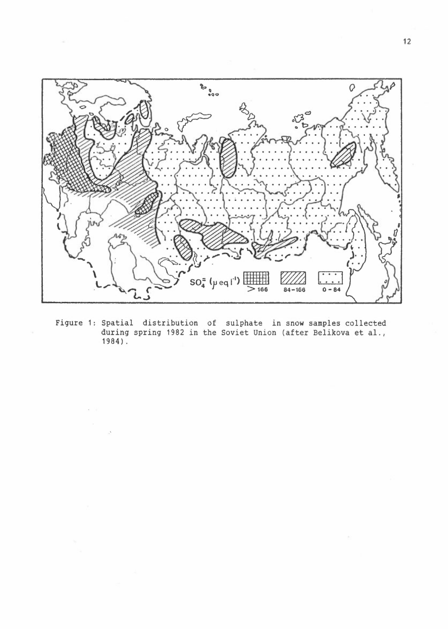

Figure 1: Spatial distribution of sulphate in snow samples collected during spring 1982 in the Soviet Union (after Belikova et al., 1984).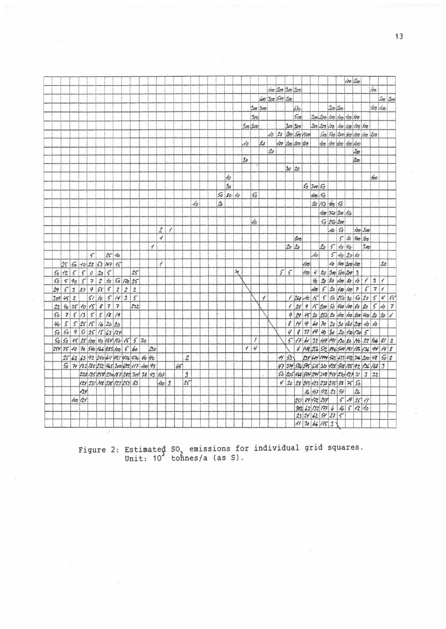|               |                 |                         |                |                |        |                |                            |                  |                                          |                          |                             |             |    |                          |    |  |              |        |   |        |               |                          |    |                    |        |                     |                  |               |                                |                |       | 100200         |                                              |                |                                         |                          |                 |
|---------------|-----------------|-------------------------|----------------|----------------|--------|----------------|----------------------------|------------------|------------------------------------------|--------------------------|-----------------------------|-------------|----|--------------------------|----|--|--------------|--------|---|--------|---------------|--------------------------|----|--------------------|--------|---------------------|------------------|---------------|--------------------------------|----------------|-------|----------------|----------------------------------------------|----------------|-----------------------------------------|--------------------------|-----------------|
|               |                 |                         |                |                |        |                |                            |                  |                                          |                          |                             |             |    |                          |    |  |              |        |   |        |               |                          |    | 100 200 300 200    |        |                     |                  |               |                                |                |       |                |                                              |                | lo <del>o</del>                         |                          |                 |
|               |                 |                         |                |                |        |                |                            |                  |                                          |                          |                             |             |    |                          |    |  |              |        |   |        |               |                          |    | 600 300 500 200    |        |                     |                  |               |                                |                |       |                |                                              |                |                                         | 200/200                  |                 |
|               |                 |                         |                |                |        |                |                            |                  |                                          |                          |                             |             |    |                          |    |  |              |        |   |        |               |                          |    |                    |        |                     |                  |               |                                |                |       |                |                                              |                |                                         |                          |                 |
|               |                 |                         |                |                |        |                |                            |                  |                                          |                          |                             |             |    |                          |    |  |              |        |   |        | $300$ $300$   |                          |    |                    |        | 670                 |                  |               |                                | 200 200        |       |                |                                              |                | $100 \sqrt{00}$                         |                          |                 |
|               |                 |                         |                |                |        |                |                            |                  |                                          |                          |                             |             |    |                          |    |  |              |        |   |        | 300           |                          |    |                    |        | 500                 |                  |               | 200 200 100 100 100 100        |                |       |                |                                              |                |                                         |                          |                 |
|               |                 |                         |                |                |        |                |                            |                  |                                          |                          |                             |             |    |                          |    |  |              |        |   | 300300 |               |                          |    |                    |        | 300   300           |                  |               |                                |                |       |                | 200 200 100 100 100 100                      |                |                                         |                          |                 |
|               |                 |                         |                |                |        |                |                            |                  |                                          |                          |                             |             |    |                          |    |  |              |        |   |        |               |                          |    | 10 20 200 500 1500 |        |                     |                  |               |                                |                |       |                | 500 500 200 600 100 100 200                  |                |                                         |                          |                 |
|               |                 |                         |                |                |        |                |                            |                  |                                          |                          |                             |             |    |                          |    |  |              |        |   | 10     |               | 20                       |    | 100 200 200 100    |        |                     |                  |               | 100 100 100 100 100            |                |       |                |                                              |                |                                         |                          |                 |
|               |                 |                         |                |                |        |                |                            |                  |                                          |                          |                             |             |    |                          |    |  |              |        |   |        |               |                          | 20 |                    |        |                     |                  |               |                                |                |       |                | 200                                          |                |                                         |                          |                 |
|               |                 |                         |                |                |        |                |                            |                  |                                          |                          |                             |             |    |                          |    |  |              |        |   | 30     |               |                          |    |                    |        |                     |                  |               |                                |                |       |                | 200                                          |                |                                         |                          |                 |
|               |                 |                         |                |                |        |                |                            |                  |                                          |                          |                             |             |    |                          |    |  |              |        |   |        |               |                          |    |                    | 3020   |                     |                  |               |                                |                |       |                |                                              |                |                                         |                          |                 |
|               |                 |                         |                |                |        |                |                            |                  |                                          |                          |                             |             |    |                          |    |  |              | 10     |   |        |               |                          |    |                    |        |                     |                  |               |                                |                |       |                |                                              |                | too                                     |                          |                 |
|               |                 |                         |                |                |        |                |                            |                  |                                          |                          |                             |             |    |                          |    |  |              | 30     |   |        |               |                          |    |                    |        |                     |                  | 503050        |                                |                |       |                |                                              |                |                                         |                          |                 |
|               |                 |                         |                |                |        |                |                            |                  |                                          |                          |                             |             |    |                          |    |  |              | 508010 |   |        | 50            |                          |    |                    |        |                     |                  | $100\,50$     |                                |                |       |                |                                              |                |                                         |                          |                 |
|               |                 |                         |                |                |        |                |                            |                  |                                          |                          |                             |             |    |                          | 1о |  | $\mathbf{z}$ |        |   |        |               |                          |    |                    |        |                     |                  |               | $20\sqrt{50}$ too 50           |                |       |                |                                              |                |                                         |                          |                 |
|               |                 |                         |                |                |        |                |                            |                  |                                          |                          |                             |             |    |                          |    |  |              |        |   |        |               |                          |    |                    |        |                     |                  |               |                                |                |       |                |                                              |                |                                         |                          |                 |
|               |                 |                         |                |                |        |                |                            |                  |                                          |                          |                             |             |    |                          |    |  |              |        |   |        |               |                          |    |                    |        |                     |                  |               | 100 350 200 150                |                |       |                |                                              |                |                                         |                          |                 |
|               |                 |                         |                |                |        |                |                            |                  |                                          |                          |                             |             |    |                          |    |  |              |        |   |        | $\frac{1}{6}$ |                          |    |                    |        |                     |                  |               | 50 250 200                     |                |       |                |                                              |                |                                         |                          |                 |
|               |                 |                         |                |                |        |                |                            |                  |                                          |                          | $\mathcal{L}_{\mathcal{L}}$ | $\sqrt{\ }$ |    |                          |    |  |              |        |   |        |               |                          |    |                    |        |                     |                  |               |                                |                | 10 50 |                | 100300                                       |                |                                         |                          |                 |
|               |                 |                         |                |                |        |                |                            |                  |                                          |                          | $\overline{\mathcal{A}}$    |             |    |                          |    |  |              |        |   |        |               |                          |    |                    |        | doo                 |                  |               |                                |                |       |                | 5/6/60/60                                    |                |                                         |                          |                 |
|               |                 |                         |                |                |        |                |                            |                  |                                          | $\overline{\mathcal{L}}$ |                             |             |    |                          |    |  |              |        |   |        |               |                          |    |                    | 2020   |                     |                  |               | 205                            |                | 10/40 |                |                                              | 500            |                                         |                          |                 |
|               |                 |                         |                | $\mathcal{L}$  |        |                | 2510                       |                  |                                          |                          |                             |             |    |                          |    |  |              |        |   |        |               |                          |    |                    |        |                     |                  | $\Lambda$ o   |                                | $\overline{5}$ |       | 10 20 10       |                                              |                |                                         |                          |                 |
|               |                 | $25$ 50 10 22 53 147    |                |                |        |                | 15                         |                  |                                          |                          | 1                           |             |    |                          |    |  |              |        |   |        |               |                          |    |                    |        |                     | 100              |               |                                |                |       | 10 100 200 100 |                                              |                |                                         | 20                       |                 |
|               | 50/2            | $\sqrt{2}$              | $\mathfrak{s}$ | $\frac{1}{2}$  | 20     | $\overline{5}$ |                            |                  | 25                                       |                          |                             |             |    |                          |    |  |              |        | ধ |        |               |                          |    |                    | 55     |                     |                  |               | 100  4  20  300  500  200  3   |                |       |                |                                              |                |                                         |                          |                 |
| 50            |                 | 5 90                    | $\sqrt{2}$     | $\frac{1}{2}$  |        |                | 2   10   50   70           |                  | 25                                       |                          |                             |             |    |                          |    |  |              |        |   |        |               |                          |    |                    |        |                     |                  | $\frac{1}{2}$ |                                |                |       |                | 20 80 100 80 10 1                            |                | 3                                       | $\overline{\phantom{a}}$ |                 |
| 29            | $\mathcal{L}$   | $\overline{\mathbf{3}}$ | $ 2\rangle$    | $\overline{9}$ | 555    |                | $\overline{\mathbf{c}}$    | $\boldsymbol{z}$ | $\overline{\mathbf{c}}$                  |                          |                             |             |    |                          |    |  |              |        |   |        |               |                          |    |                    |        |                     |                  | 100           |                                |                |       |                | 5201007                                      | $\overline{5}$ | $\overline{\mathcal{F}}$                | $\overline{1}$           |                 |
| 309           | 45              | $\overline{z}$          |                |                |        |                | 51/105/14                  | $\overline{3}$   | $\overline{5}$                           |                          |                             |             |    |                          |    |  |              |        |   |        |               | $\overline{\mathcal{A}}$ |    |                    |        | 12601015            |                  |               |                                |                |       |                | 5552552520                                   |                | $\overline{5}$                          | $\sqrt{2}$               | 53              |
| 22            |                 | 40351015                |                |                |        | 87             | $\overline{\mathbf{z}}$    |                  | 232                                      |                          |                             |             |    |                          |    |  |              |        |   |        |               |                          |    |                    | 1      | 24                  | $\boldsymbol{q}$ |               |                                |                |       |                | 15 200 50 400 100 80 80                      |                | $\vert$ 5                               | 10                       | $\overline{z}$  |
| 50            | $\overline{7}$  |                         | 5/3            |                | 551819 |                |                            |                  |                                          |                          |                             |             |    |                          |    |  |              |        |   |        |               |                          |    |                    | 9      |                     |                  |               |                                |                |       |                | 29 45 20 250 20 100 100 800 400 20           |                |                                         | 20                       |                 |
| $\frac{1}{6}$ | $\sqrt{5}$      |                         |                | 52515162020    |        |                |                            |                  |                                          |                          |                             |             |    |                          |    |  |              |        |   |        |               |                          |    |                    | g      |                     |                  |               |                                |                |       |                | 14 4 60 70 30 30 160 200 10 10               |                |                                         |                          |                 |
| 50            | $\overline{50}$ |                         |                |                |        |                | 95/25/563/24               |                  |                                          |                          |                             |             |    |                          |    |  |              |        |   |        |               |                          |    |                    | 4      | $\boldsymbol{\ell}$ |                  |               |                                |                |       |                | 57 19 46 30 20 10 130 5                      |                |                                         |                          |                 |
| 50            | 50              |                         |                |                |        |                |                            |                  | 45 25 100 40 154 150 15 5 30             |                          |                             |             |    |                          |    |  |              |        |   |        | 1             |                          |    |                    |        |                     |                  |               |                                |                |       |                |                                              |                | 5 17 61 32 109 191 130 80 16 22 106 81  |                          | $\vert z \vert$ |
| 254           | 75              |                         |                |                |        |                | 10 70 546 166 885 100      | $\sqrt{s}$       | 60                                       | 20                       |                             |             |    |                          |    |  |              |        |   | 1      | 4             |                          |    |                    |        |                     |                  |               |                                |                |       |                |                                              |                | 4 148 236 512 896 549 191 186 136 94 19 |                          | z               |
|               |                 |                         |                |                |        |                |                            |                  |                                          |                          |                             |             |    |                          |    |  |              |        |   |        |               |                          |    |                    |        |                     |                  |               |                                |                |       |                |                                              |                |                                         |                          |                 |
|               |                 |                         |                |                |        |                |                            |                  | 25 62 63 92 240 611 451 476 470 46 40    |                          |                             |             |    | $\overline{\mathcal{Z}}$ |    |  |              |        |   |        |               |                          |    |                    | $H$ 53 |                     |                  |               |                                |                |       |                | 238 604 799 563 653 472 346 200 48           |                |                                         | 508                      |                 |
|               |                 |                         |                |                |        |                |                            |                  | 50 71 132 180 252 145 300 692 117 100 93 |                          |                             |             | 65 |                          |    |  |              |        |   |        |               |                          |    |                    |        |                     |                  |               |                                |                |       |                | 47 37 586 595 625 320 428 518 185 92 136 168 |                |                                         | $\vert$ 3                |                 |
|               |                 |                         |                |                |        |                |                            |                  | 228 25 258 270 187 282 301 38 43 107     |                          |                             |             |    | 3                        |    |  |              |        |   |        |               |                          |    |                    |        |                     |                  |               |                                |                |       |                | 50 205 468 544 294 348 954 270 127 31 3 32   |                |                                         |                          |                 |
|               |                 |                         |                |                |        |                | 124 231 148 275 123 253 83 |                  |                                          |                          | $110\overline{3}$           |             |    | $25 -$                   |    |  |              |        |   |        |               |                          |    | 4                  |        |                     |                  |               | 20 28 243 123 234 275 88 75 50 |                |       |                |                                              |                |                                         |                          |                 |
|               |                 |                         | 124            |                |        |                |                            |                  |                                          |                          |                             |             |    |                          |    |  |              |        |   |        |               |                          |    |                    |        |                     |                  |               | 86 107 112 23 54               |                |       |                | 26                                           |                |                                         |                          |                 |
|               |                 |                         | 100/24         |                |        |                |                            |                  |                                          |                          |                             |             |    |                          |    |  |              |        |   |        |               |                          |    |                    |        |                     |                  |               | 251 89 172 259                 |                |       |                | 572511                                       |                |                                         |                          |                 |
|               |                 |                         |                |                |        |                |                            |                  |                                          |                          |                             |             |    |                          |    |  |              |        |   |        |               |                          |    |                    |        | $\frac{1}{2}$       |                  |               |                                |                |       |                | $62/52/7766$ 6 $16/5/12$                     |                |                                         |                          |                 |
|               |                 |                         |                |                |        |                |                            |                  |                                          |                          |                             |             |    |                          |    |  |              |        |   |        |               |                          |    |                    |        |                     |                  |               | 23 24 62 54 27 5               |                |       |                |                                              |                |                                         |                          |                 |
|               |                 |                         |                |                |        |                |                            |                  |                                          |                          |                             |             |    |                          |    |  |              |        |   |        |               |                          |    |                    |        |                     |                  |               | 11 30 66 175 3                 |                |       |                |                                              |                |                                         |                          |                 |

Figure 2: Estimated SO<sub>2</sub> emissions for individual grid squares. Unit: 10<sup>°</sup> tonnes/a (as S).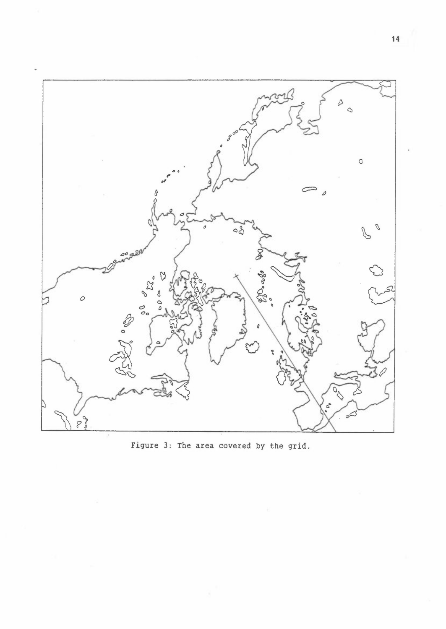

Figure 3: The area covered by the grid.